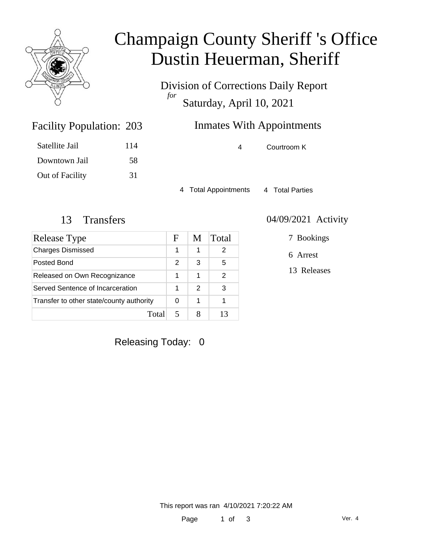

# Champaign County Sheriff 's Office Dustin Heuerman, Sheriff

Division of Corrections Daily Report *for* Saturday, April 10, 2021

## **Inmates With Appointments**

Facility Population: 203 Satellite Jail 114

Downtown Jail 58 Out of Facility 31 4 Courtroom K

4 Total Appointments 4 Total Parties

| Release Type                             | F | M | Total |
|------------------------------------------|---|---|-------|
| <b>Charges Dismissed</b>                 | 1 | 1 | 2     |
| Posted Bond                              | 2 | 3 | 5     |
| Released on Own Recognizance             | 1 | 1 | 2     |
| Served Sentence of Incarceration         | 1 | 2 | 3     |
| Transfer to other state/county authority | 0 | 1 |       |
| Tota                                     |   |   |       |

#### 13 Transfers 04/09/2021 Activity

7 Bookings

6 Arrest

13 Releases

Releasing Today: 0

This report was ran 4/10/2021 7:20:22 AM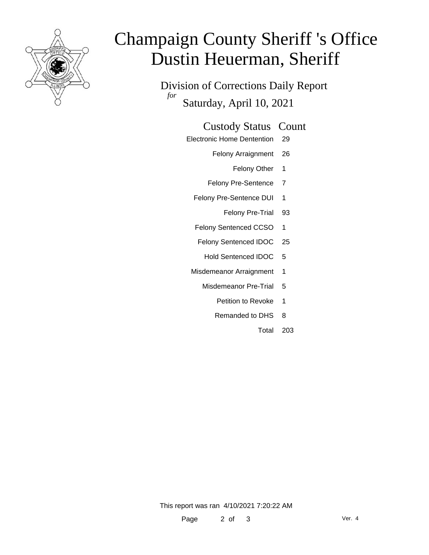

# Champaign County Sheriff 's Office Dustin Heuerman, Sheriff

Division of Corrections Daily Report *for* Saturday, April 10, 2021

#### Custody Status Count

- Electronic Home Dentention 29
	- Felony Arraignment 26
		- Felony Other 1
	- Felony Pre-Sentence 7
	- Felony Pre-Sentence DUI 1
		- Felony Pre-Trial 93
	- Felony Sentenced CCSO 1
	- Felony Sentenced IDOC 25
		- Hold Sentenced IDOC 5
	- Misdemeanor Arraignment 1
		- Misdemeanor Pre-Trial 5
			- Petition to Revoke 1
			- Remanded to DHS 8
				- Total 203

This report was ran 4/10/2021 7:20:22 AM